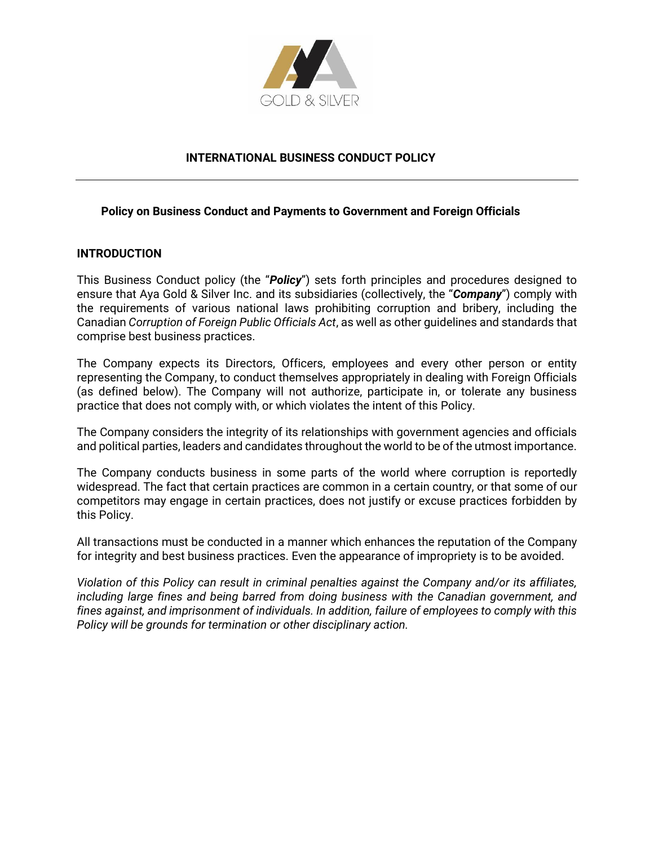

### **INTERNATIONAL BUSINESS CONDUCT POLICY**

#### **Policy on Business Conduct and Payments to Government and Foreign Officials**

#### **INTRODUCTION**

This Business Conduct policy (the "*Policy*") sets forth principles and procedures designed to ensure that Aya Gold & Silver Inc. and its subsidiaries (collectively, the "*Company*") comply with the requirements of various national laws prohibiting corruption and bribery, including the Canadian *Corruption of Foreign Public Officials Act*, as well as other guidelines and standards that comprise best business practices.

The Company expects its Directors, Officers, employees and every other person or entity representing the Company, to conduct themselves appropriately in dealing with Foreign Officials (as defined below). The Company will not authorize, participate in, or tolerate any business practice that does not comply with, or which violates the intent of this Policy.

The Company considers the integrity of its relationships with government agencies and officials and political parties, leaders and candidates throughout the world to be of the utmost importance.

The Company conducts business in some parts of the world where corruption is reportedly widespread. The fact that certain practices are common in a certain country, or that some of our competitors may engage in certain practices, does not justify or excuse practices forbidden by this Policy.

All transactions must be conducted in a manner which enhances the reputation of the Company for integrity and best business practices. Even the appearance of impropriety is to be avoided.

*Violation of this Policy can result in criminal penalties against the Company and/or its affiliates, including large fines and being barred from doing business with the Canadian government, and fines against, and imprisonment of individuals. In addition, failure of employees to comply with this Policy will be grounds for termination or other disciplinary action.*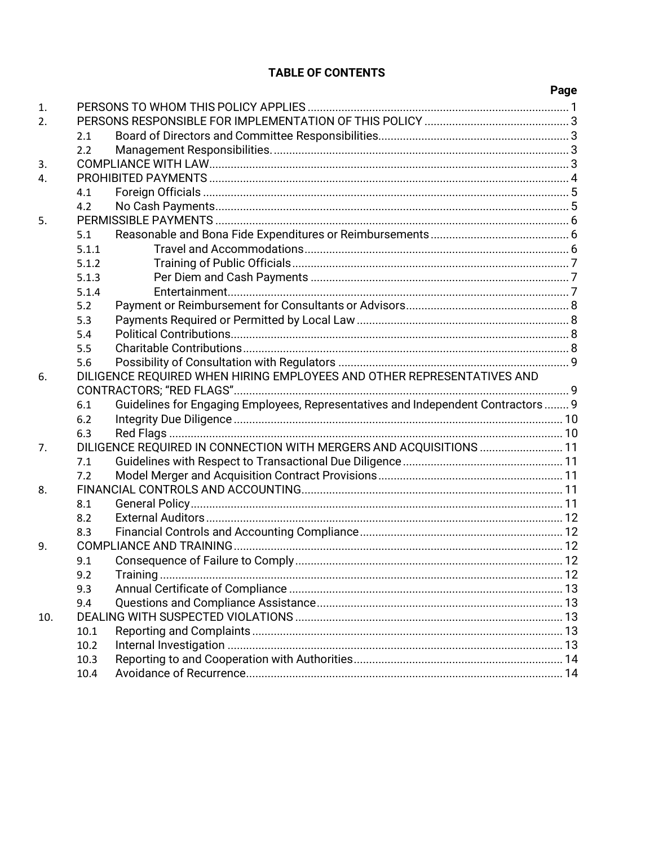# **TABLE OF CONTENTS**

|                  |                                                                        |                                                                                  | <b>Page</b> |
|------------------|------------------------------------------------------------------------|----------------------------------------------------------------------------------|-------------|
| 1.               |                                                                        |                                                                                  |             |
| $\overline{2}$ . |                                                                        |                                                                                  |             |
|                  | 2.1                                                                    |                                                                                  |             |
|                  | 2.2                                                                    |                                                                                  |             |
| 3.               |                                                                        |                                                                                  |             |
| 4.               |                                                                        |                                                                                  |             |
|                  | 4.1                                                                    |                                                                                  |             |
|                  | 4.2                                                                    |                                                                                  |             |
| 5.               |                                                                        |                                                                                  |             |
|                  | 5.1                                                                    |                                                                                  |             |
|                  | 5.1.1                                                                  |                                                                                  |             |
|                  | 5.1.2                                                                  |                                                                                  |             |
|                  | 5.1.3                                                                  |                                                                                  |             |
|                  | 5.1.4                                                                  |                                                                                  |             |
|                  | 5.2                                                                    |                                                                                  |             |
|                  | 5.3                                                                    |                                                                                  |             |
|                  | 5.4                                                                    |                                                                                  |             |
|                  | 5.5                                                                    |                                                                                  |             |
|                  | 5.6                                                                    |                                                                                  |             |
| 6.               | DILIGENCE REQUIRED WHEN HIRING EMPLOYEES AND OTHER REPRESENTATIVES AND |                                                                                  |             |
|                  |                                                                        |                                                                                  |             |
|                  | 6.1                                                                    | Guidelines for Engaging Employees, Representatives and Independent Contractors 9 |             |
|                  | 6.2                                                                    |                                                                                  |             |
|                  | 6.3                                                                    |                                                                                  |             |
| 7.               |                                                                        | DILIGENCE REQUIRED IN CONNECTION WITH MERGERS AND ACQUISITIONS  11               |             |
|                  | 7.1                                                                    |                                                                                  |             |
|                  | 7.2                                                                    |                                                                                  |             |
| 8.               |                                                                        |                                                                                  |             |
|                  | 8.1                                                                    |                                                                                  |             |
|                  | 8.2<br>8.3                                                             |                                                                                  |             |
| 9.               |                                                                        |                                                                                  |             |
| 10.              | 9.1                                                                    |                                                                                  |             |
|                  | 9.2                                                                    |                                                                                  |             |
|                  | 9.3                                                                    |                                                                                  |             |
|                  | 9.4                                                                    |                                                                                  |             |
|                  |                                                                        |                                                                                  |             |
|                  | 10.1                                                                   |                                                                                  |             |
|                  | 10.2                                                                   |                                                                                  |             |
|                  | 10.3                                                                   |                                                                                  |             |
|                  | 10.4                                                                   |                                                                                  |             |
|                  |                                                                        |                                                                                  |             |

# $\mathbf{D}_2$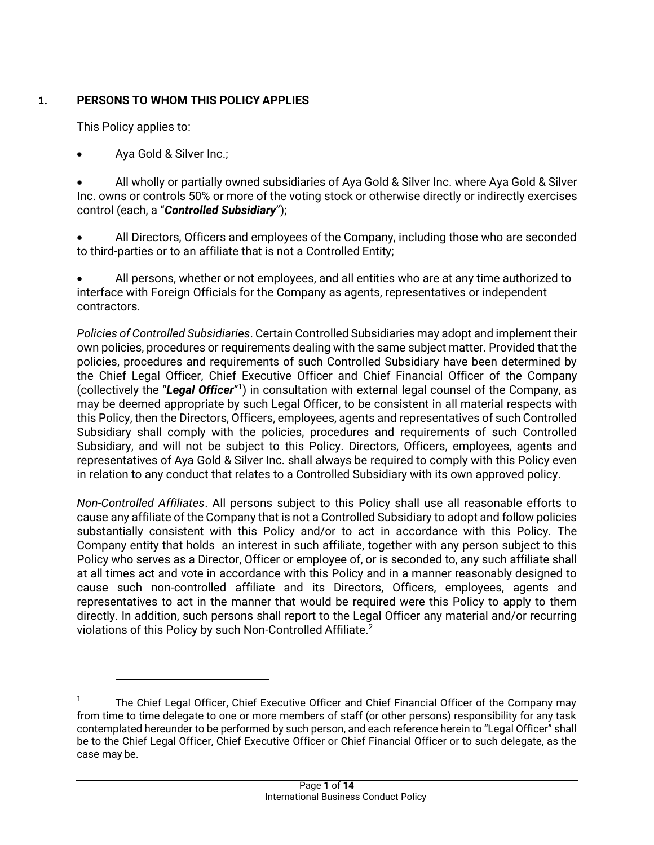# <span id="page-2-0"></span>**1. PERSONS TO WHOM THIS POLICY APPLIES**

This Policy applies to:

• Aya Gold & Silver Inc.;

• All wholly or partially owned subsidiaries of Aya Gold & Silver Inc. where Aya Gold & Silver Inc. owns or controls 50% or more of the voting stock or otherwise directly or indirectly exercises control (each, a "*Controlled Subsidiary*");

• All Directors, Officers and employees of the Company, including those who are seconded to third-parties or to an affiliate that is not a Controlled Entity;

• All persons, whether or not employees, and all entities who are at any time authorized to interface with Foreign Officials for the Company as agents, representatives or independent contractors.

*Policies of Controlled Subsidiaries*. Certain Controlled Subsidiaries may adopt and implement their own policies, procedures or requirements dealing with the same subject matter. Provided that the policies, procedures and requirements of such Controlled Subsidiary have been determined by the Chief Legal Officer, Chief Executive Officer and Chief Financial Officer of the Company (collectively the "Legal Officer"<sup>1</sup>) in consultation with external legal counsel of the Company, as may be deemed appropriate by such Legal Officer, to be consistent in all material respects with this Policy, then the Directors, Officers, employees, agents and representatives of such Controlled Subsidiary shall comply with the policies, procedures and requirements of such Controlled Subsidiary, and will not be subject to this Policy. Directors, Officers, employees, agents and representatives of Aya Gold & Silver Inc. shall always be required to comply with this Policy even in relation to any conduct that relates to a Controlled Subsidiary with its own approved policy.

*Non-Controlled Affiliates*. All persons subject to this Policy shall use all reasonable efforts to cause any affiliate of the Company that is not a Controlled Subsidiary to adopt and follow policies substantially consistent with this Policy and/or to act in accordance with this Policy. The Company entity that holds an interest in such affiliate, together with any person subject to this Policy who serves as a Director, Officer or employee of, or is seconded to, any such affiliate shall at all times act and vote in accordance with this Policy and in a manner reasonably designed to cause such non-controlled affiliate and its Directors, Officers, employees, agents and representatives to act in the manner that would be required were this Policy to apply to them directly. In addition, such persons shall report to the Legal Officer any material and/or recurring violations of this Policy by such Non-Controlled Affiliate.<sup>2</sup>

<sup>1</sup> The Chief Legal Officer, Chief Executive Officer and Chief Financial Officer of the Company may from time to time delegate to one or more members of staff (or other persons) responsibility for any task contemplated hereunder to be performed by such person, and each reference herein to "Legal Officer" shall be to the Chief Legal Officer, Chief Executive Officer or Chief Financial Officer or to such delegate, as the case may be.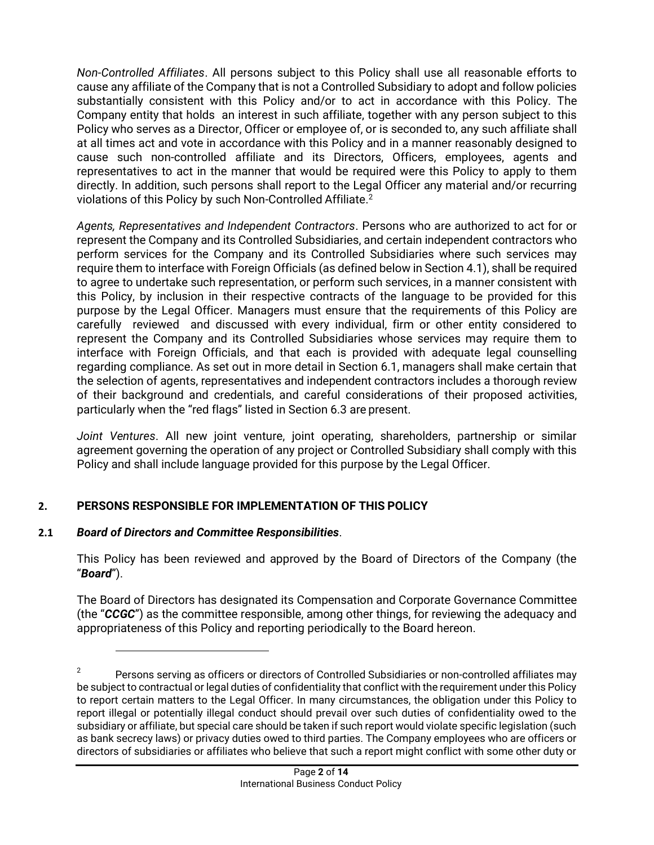*Non-Controlled Affiliates*. All persons subject to this Policy shall use all reasonable efforts to cause any affiliate of the Company that is not a Controlled Subsidiary to adopt and follow policies substantially consistent with this Policy and/or to act in accordance with this Policy. The Company entity that holds an interest in such affiliate, together with any person subject to this Policy who serves as a Director, Officer or employee of, or is seconded to, any such affiliate shall at all times act and vote in accordance with this Policy and in a manner reasonably designed to cause such non-controlled affiliate and its Directors, Officers, employees, agents and representatives to act in the manner that would be required were this Policy to apply to them directly. In addition, such persons shall report to the Legal Officer any material and/or recurring violations of this Policy by such Non-Controlled Affiliate.<sup>2</sup>

*Agents, Representatives and Independent Contractors*. Persons who are authorized to act for or represent the Company and its Controlled Subsidiaries, and certain independent contractors who perform services for the Company and its Controlled Subsidiaries where such services may require them to interface with Foreign Officials (as defined below in Section 4.1), shall be required to agree to undertake such representation, or perform such services, in a manner consistent with this Policy, by inclusion in their respective contracts of the language to be provided for this purpose by the Legal Officer. Managers must ensure that the requirements of this Policy are carefully reviewed and discussed with every individual, firm or other entity considered to represent the Company and its Controlled Subsidiaries whose services may require them to interface with Foreign Officials, and that each is provided with adequate legal counselling regarding compliance. As set out in more detail in Section 6.1, managers shall make certain that the selection of agents, representatives and independent contractors includes a thorough review of their background and credentials, and careful considerations of their proposed activities, particularly when the "red flags" listed in Section 6.3 are present.

*Joint Ventures*. All new joint venture, joint operating, shareholders, partnership or similar agreement governing the operation of any project or Controlled Subsidiary shall comply with this Policy and shall include language provided for this purpose by the Legal Officer.

# **2. PERSONS RESPONSIBLE FOR IMPLEMENTATION OF THIS POLICY**

## **2.1** *Board of Directors and Committee Responsibilities*.

This Policy has been reviewed and approved by the Board of Directors of the Company (the "*Board*").

The Board of Directors has designated its Compensation and Corporate Governance Committee (the "*CCGC*") as the committee responsible, among other things, for reviewing the adequacy and appropriateness of this Policy and reporting periodically to the Board hereon.

<sup>2</sup> Persons serving as officers or directors of Controlled Subsidiaries or non-controlled affiliates may be subject to contractual or legal duties of confidentiality that conflict with the requirement under this Policy to report certain matters to the Legal Officer. In many circumstances, the obligation under this Policy to report illegal or potentially illegal conduct should prevail over such duties of confidentiality owed to the subsidiary or affiliate, but special care should be taken if such report would violate specific legislation (such as bank secrecy laws) or privacy duties owed to third parties. The Company employees who are officers or directors of subsidiaries or affiliates who believe that such a report might conflict with some other duty or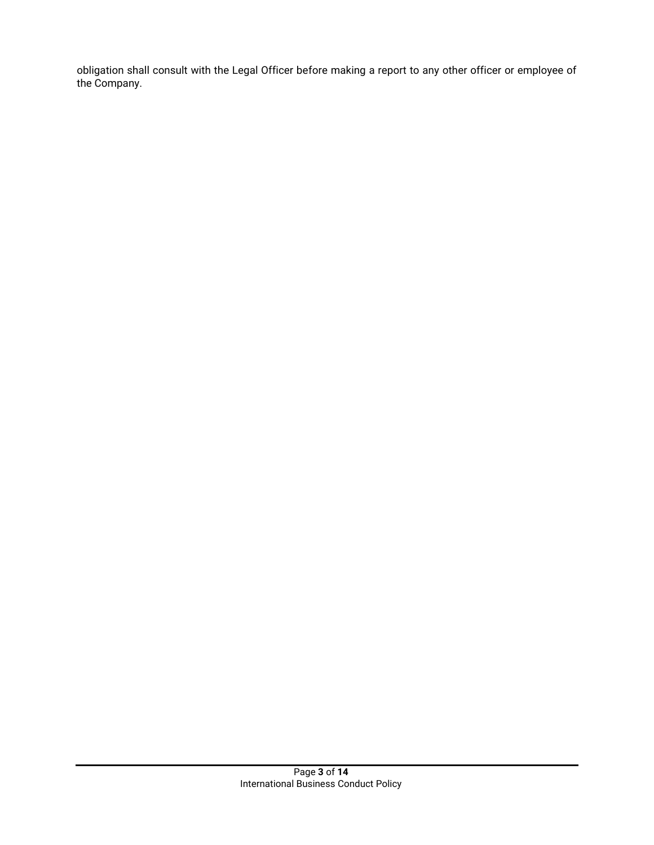obligation shall consult with the Legal Officer before making a report to any other officer or employee of the Company.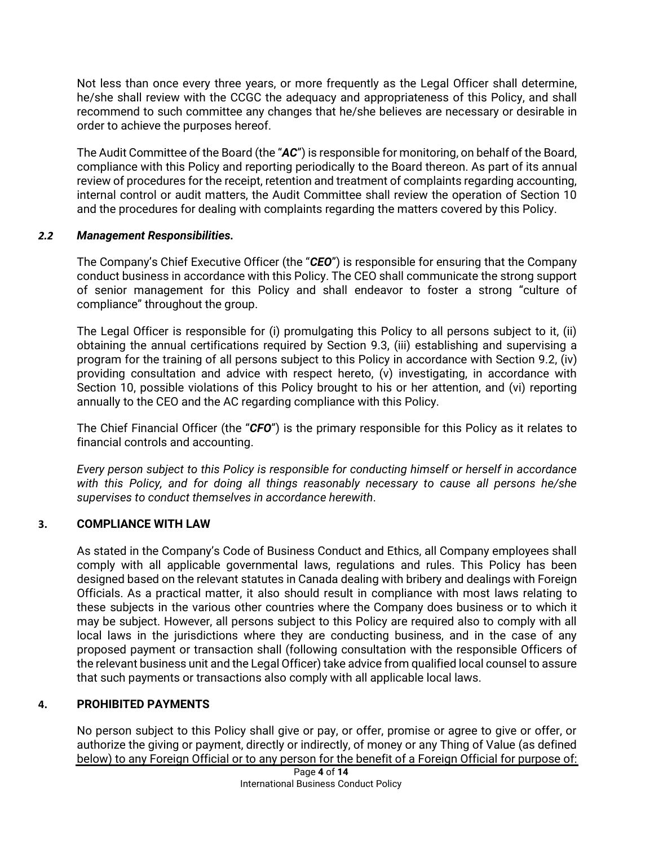Not less than once every three years, or more frequently as the Legal Officer shall determine, he/she shall review with the CCGC the adequacy and appropriateness of this Policy, and shall recommend to such committee any changes that he/she believes are necessary or desirable in order to achieve the purposes hereof.

The Audit Committee of the Board (the "*AC*") is responsible for monitoring, on behalf of the Board, compliance with this Policy and reporting periodically to the Board thereon. As part of its annual review of procedures for the receipt, retention and treatment of complaints regarding accounting, internal control or audit matters, the Audit Committee shall review the operation of Section 10 and the procedures for dealing with complaints regarding the matters covered by this Policy.

### <span id="page-5-0"></span>*2.2 Management Responsibilities.*

The Company's Chief Executive Officer (the "*CEO*") is responsible for ensuring that the Company conduct business in accordance with this Policy. The CEO shall communicate the strong support of senior management for this Policy and shall endeavor to foster a strong "culture of compliance" throughout the group.

The Legal Officer is responsible for (i) promulgating this Policy to all persons subject to it, (ii) obtaining the annual certifications required by Section 9.3, (iii) establishing and supervising a program for the training of all persons subject to this Policy in accordance with Section [9.2,](#page-14-1) (iv) providing consultation and advice with respect hereto, (v) investigating, in accordance with Section 10, possible violations of this Policy brought to his or her attention, and (vi) reporting annually to the CEO and the AC regarding compliance with this Policy.

The Chief Financial Officer (the "*CFO*") is the primary responsible for this Policy as it relates to financial controls and accounting.

*Every person subject to this Policy is responsible for conducting himself or herself in accordance with this Policy, and for doing all things reasonably necessary to cause all persons he/she supervises to conduct themselves in accordance herewith*.

## <span id="page-5-1"></span>**3. COMPLIANCE WITH LAW**

As stated in the Company's Code of Business Conduct and Ethics, all Company employees shall comply with all applicable governmental laws, regulations and rules. This Policy has been designed based on the relevant statutes in Canada dealing with bribery and dealings with Foreign Officials. As a practical matter, it also should result in compliance with most laws relating to these subjects in the various other countries where the Company does business or to which it may be subject. However, all persons subject to this Policy are required also to comply with all local laws in the jurisdictions where they are conducting business, and in the case of any proposed payment or transaction shall (following consultation with the responsible Officers of the relevant business unit and the Legal Officer) take advice from qualified local counsel to assure that such payments or transactions also comply with all applicable local laws.

## <span id="page-5-2"></span>**4. PROHIBITED PAYMENTS**

No person subject to this Policy shall give or pay, or offer, promise or agree to give or offer, or authorize the giving or payment, directly or indirectly, of money or any Thing of Value (as defined below) to any Foreign Official or to any person for the benefit of a Foreign Official for purpose of: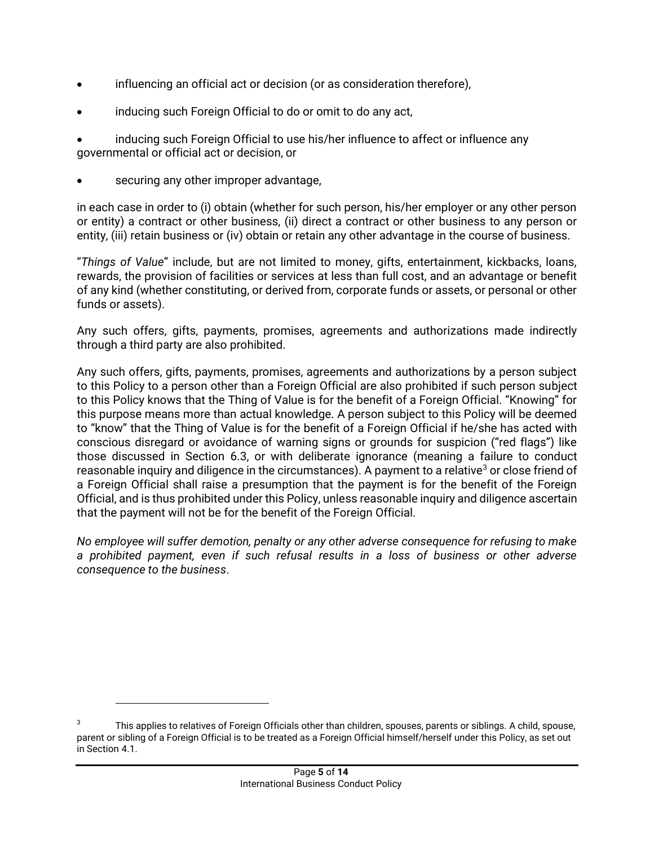- influencing an official act or decision (or as consideration therefore),
- inducing such Foreign Official to do or omit to do any act,

• inducing such Foreign Official to use his/her influence to affect or influence any governmental or official act or decision, or

• securing any other improper advantage,

in each case in order to (i) obtain (whether for such person, his/her employer or any other person or entity) a contract or other business, (ii) direct a contract or other business to any person or entity, (iii) retain business or (iv) obtain or retain any other advantage in the course of business.

"*Things of Value*" include, but are not limited to money, gifts, entertainment, kickbacks, loans, rewards, the provision of facilities or services at less than full cost, and an advantage or benefit of any kind (whether constituting, or derived from, corporate funds or assets, or personal or other funds or assets).

Any such offers, gifts, payments, promises, agreements and authorizations made indirectly through a third party are also prohibited.

Any such offers, gifts, payments, promises, agreements and authorizations by a person subject to this Policy to a person other than a Foreign Official are also prohibited if such person subject to this Policy knows that the Thing of Value is for the benefit of a Foreign Official. "Knowing" for this purpose means more than actual knowledge. A person subject to this Policy will be deemed to "know" that the Thing of Value is for the benefit of a Foreign Official if he/she has acted with conscious disregard or avoidance of warning signs or grounds for suspicion ("red flags") like those discussed in Section [6.3,](#page-12-0) or with deliberate ignorance (meaning a failure to conduct reasonable inquiry and diligence in the circumstances). A payment to a relative<sup>3</sup> or close friend of a Foreign Official shall raise a presumption that the payment is for the benefit of the Foreign Official, and is thus prohibited under this Policy, unless reasonable inquiry and diligence ascertain that the payment will not be for the benefit of the Foreign Official.

*No employee will suffer demotion, penalty or any other adverse consequence for refusing to make a prohibited payment, even if such refusal results in a loss of business or other adverse consequence to the business*.

<sup>3</sup> This applies to relatives of Foreign Officials other than children, spouses, parents or siblings. A child, spouse, parent or sibling of a Foreign Official is to be treated as a Foreign Official himself/herself under this Policy, as set out in Section 4.1.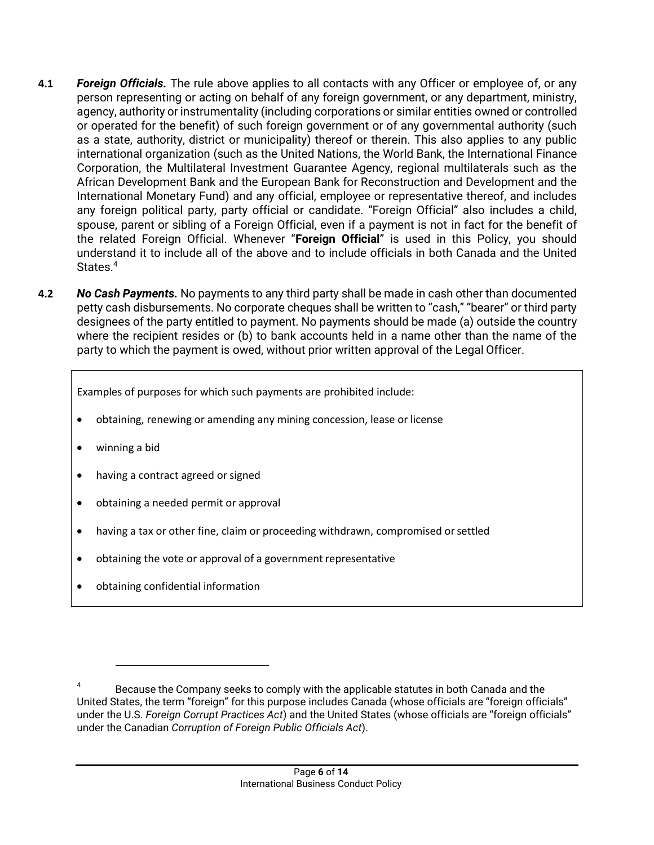- **4.1** *Foreign Officials.* The rule above applies to all contacts with any Officer or employee of, or any person representing or acting on behalf of any foreign government, or any department, ministry, agency, authority or instrumentality (including corporations or similar entities owned or controlled or operated for the benefit) of such foreign government or of any governmental authority (such as a state, authority, district or municipality) thereof or therein. This also applies to any public international organization (such as the United Nations, the World Bank, the International Finance Corporation, the Multilateral Investment Guarantee Agency, regional multilaterals such as the African Development Bank and the European Bank for Reconstruction and Development and the International Monetary Fund) and any official, employee or representative thereof, and includes any foreign political party, party official or candidate. "Foreign Official" also includes a child, spouse, parent or sibling of a Foreign Official, even if a payment is not in fact for the benefit of the related Foreign Official. Whenever "**Foreign Official**" is used in this Policy, you should understand it to include all of the above and to include officials in both Canada and the United States.<sup>4</sup>
- **4.2** *No Cash Payments.* No payments to any third party shall be made in cash other than documented petty cash disbursements. No corporate cheques shall be written to "cash," "bearer" or third party designees of the party entitled to payment. No payments should be made (a) outside the country where the recipient resides or (b) to bank accounts held in a name other than the name of the party to which the payment is owed, without prior written approval of the Legal Officer.

Examples of purposes for which such payments are prohibited include:

- obtaining, renewing or amending any mining concession, lease or license
- winning a bid
- having a contract agreed or signed
- obtaining a needed permit or approval
- having a tax or other fine, claim or proceeding withdrawn, compromised orsettled
- obtaining the vote or approval of a government representative
- obtaining confidential information

<sup>4</sup> Because the Company seeks to comply with the applicable statutes in both Canada and the United States, the term "foreign" for this purpose includes Canada (whose officials are "foreign officials" under the U.S. *Foreign Corrupt Practices Act*) and the United States (whose officials are "foreign officials" under the Canadian *Corruption of Foreign Public Officials Act*).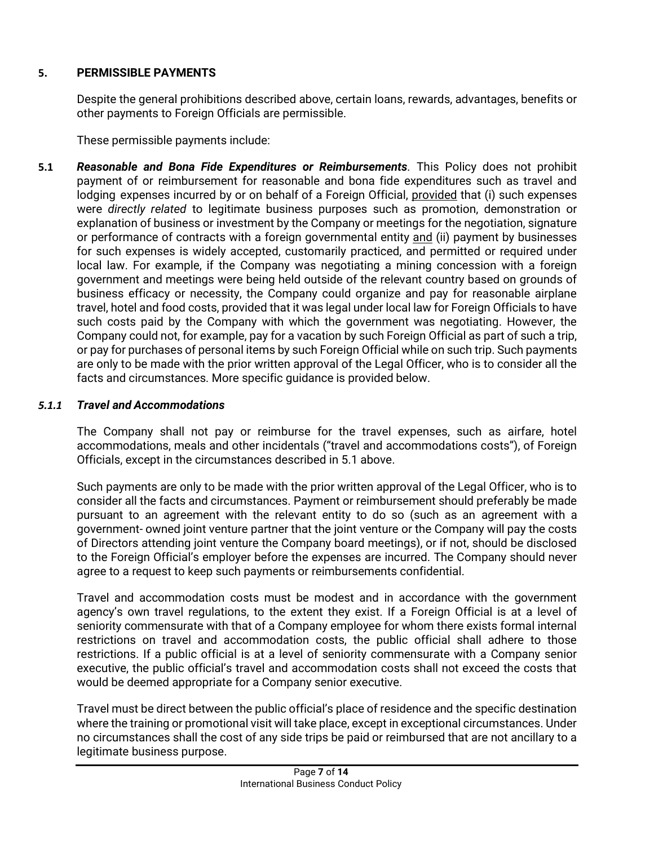## <span id="page-8-0"></span>**5. PERMISSIBLE PAYMENTS**

Despite the general prohibitions described above, certain loans, rewards, advantages, benefits or other payments to Foreign Officials are permissible.

These permissible payments include:

<span id="page-8-2"></span>**5.1** *Reasonable and Bona Fide Expenditures or Reimbursements.* This Policy does not prohibit payment of or reimbursement for reasonable and bona fide expenditures such as travel and lodging expenses incurred by or on behalf of a Foreign Official, provided that (i) such expenses were *directly related* to legitimate business purposes such as promotion, demonstration or explanation of business or investment by the Company or meetings for the negotiation, signature or performance of contracts with a foreign governmental entity and (ii) payment by businesses for such expenses is widely accepted, customarily practiced, and permitted or required under local law. For example, if the Company was negotiating a mining concession with a foreign government and meetings were being held outside of the relevant country based on grounds of business efficacy or necessity, the Company could organize and pay for reasonable airplane travel, hotel and food costs, provided that it was legal under local law for Foreign Officials to have such costs paid by the Company with which the government was negotiating. However, the Company could not, for example, pay for a vacation by such Foreign Official as part of such a trip, or pay for purchases of personal items by such Foreign Official while on such trip. Such payments are only to be made with the prior written approval of the Legal Officer, who is to consider all the facts and circumstances. More specific guidance is provided below.

# <span id="page-8-1"></span>*5.1.1 Travel and Accommodations*

The Company shall not pay or reimburse for the travel expenses, such as airfare, hotel accommodations, meals and other incidentals ("travel and accommodations costs"), of Foreign Officials, except in the circumstances described i[n 5.1](#page-8-2) above.

Such payments are only to be made with the prior written approval of the Legal Officer, who is to consider all the facts and circumstances. Payment or reimbursement should preferably be made pursuant to an agreement with the relevant entity to do so (such as an agreement with a government- owned joint venture partner that the joint venture or the Company will pay the costs of Directors attending joint venture the Company board meetings), or if not, should be disclosed to the Foreign Official's employer before the expenses are incurred. The Company should never agree to a request to keep such payments or reimbursements confidential.

Travel and accommodation costs must be modest and in accordance with the government agency's own travel regulations, to the extent they exist. If a Foreign Official is at a level of seniority commensurate with that of a Company employee for whom there exists formal internal restrictions on travel and accommodation costs, the public official shall adhere to those restrictions. If a public official is at a level of seniority commensurate with a Company senior executive, the public official's travel and accommodation costs shall not exceed the costs that would be deemed appropriate for a Company senior executive.

Travel must be direct between the public official's place of residence and the specific destination where the training or promotional visit will take place, except in exceptional circumstances. Under no circumstances shall the cost of any side trips be paid or reimbursed that are not ancillary to a legitimate business purpose.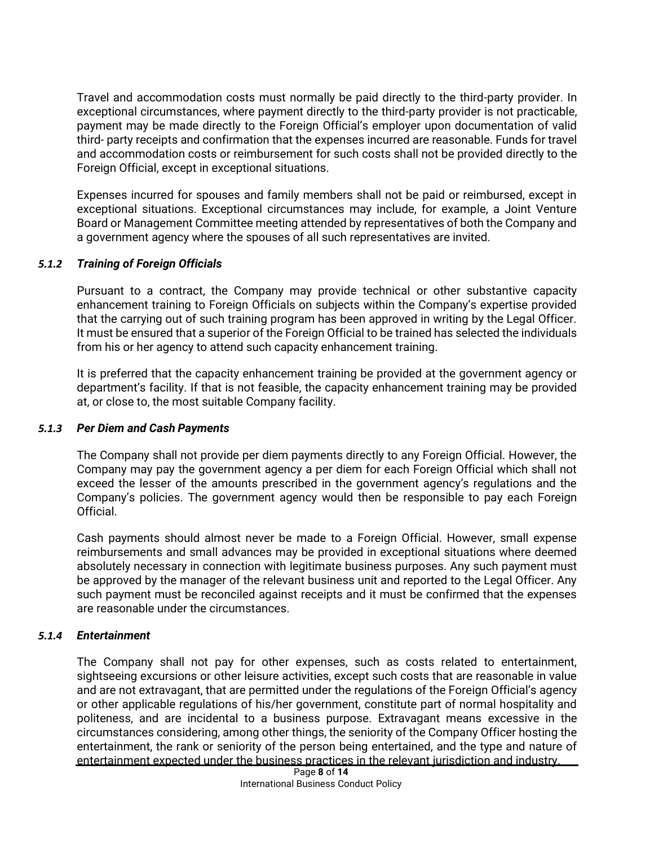Travel and accommodation costs must normally be paid directly to the third-party provider. In exceptional circumstances, where payment directly to the third-party provider is not practicable, payment may be made directly to the Foreign Official's employer upon documentation of valid third- party receipts and confirmation that the expenses incurred are reasonable. Funds for travel and accommodation costs or reimbursement for such costs shall not be provided directly to the Foreign Official, except in exceptional situations.

Expenses incurred for spouses and family members shall not be paid or reimbursed, except in exceptional situations. Exceptional circumstances may include, for example, a Joint Venture Board or Management Committee meeting attended by representatives of both the Company and a government agency where the spouses of all such representatives are invited.

### *5.1.2 Training of Foreign Officials*

Pursuant to a contract, the Company may provide technical or other substantive capacity enhancement training to Foreign Officials on subjects within the Company's expertise provided that the carrying out of such training program has been approved in writing by the Legal Officer. It must be ensured that a superior of the Foreign Official to be trained has selected the individuals from his or her agency to attend such capacity enhancement training.

It is preferred that the capacity enhancement training be provided at the government agency or department's facility. If that is not feasible, the capacity enhancement training may be provided at, or close to, the most suitable Company facility.

#### <span id="page-9-0"></span>*5.1.3 Per Diem and Cash Payments*

The Company shall not provide per diem payments directly to any Foreign Official. However, the Company may pay the government agency a per diem for each Foreign Official which shall not exceed the lesser of the amounts prescribed in the government agency's regulations and the Company's policies. The government agency would then be responsible to pay each Foreign Official.

Cash payments should almost never be made to a Foreign Official. However, small expense reimbursements and small advances may be provided in exceptional situations where deemed absolutely necessary in connection with legitimate business purposes. Any such payment must be approved by the manager of the relevant business unit and reported to the Legal Officer. Any such payment must be reconciled against receipts and it must be confirmed that the expenses are reasonable under the circumstances.

#### <span id="page-9-1"></span>*5.1.4 Entertainment*

The Company shall not pay for other expenses, such as costs related to entertainment, sightseeing excursions or other leisure activities, except such costs that are reasonable in value and are not extravagant, that are permitted under the regulations of the Foreign Official's agency or other applicable regulations of his/her government, constitute part of normal hospitality and politeness, and are incidental to a business purpose. Extravagant means excessive in the circumstances considering, among other things, the seniority of the Company Officer hosting the entertainment, the rank or seniority of the person being entertained, and the type and nature of entertainment expected under the business practices in the relevant jurisdiction and industry.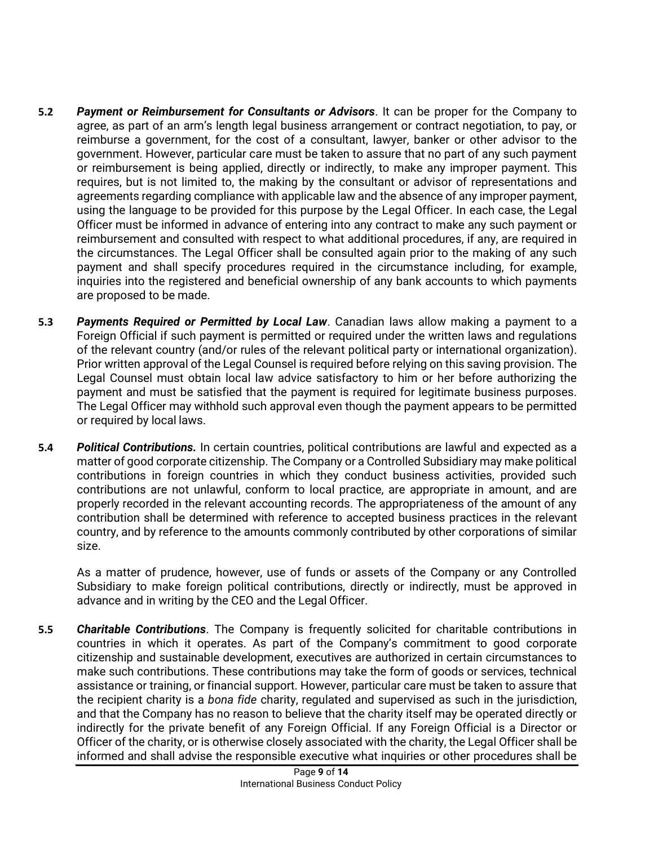- **5.2** *Payment or Reimbursement for Consultants or Advisors*. It can be proper for the Company to agree, as part of an arm's length legal business arrangement or contract negotiation, to pay, or reimburse a government, for the cost of a consultant, lawyer, banker or other advisor to the government. However, particular care must be taken to assure that no part of any such payment or reimbursement is being applied, directly or indirectly, to make any improper payment. This requires, but is not limited to, the making by the consultant or advisor of representations and agreements regarding compliance with applicable law and the absence of any improper payment, using the language to be provided for this purpose by the Legal Officer. In each case, the Legal Officer must be informed in advance of entering into any contract to make any such payment or reimbursement and consulted with respect to what additional procedures, if any, are required in the circumstances. The Legal Officer shall be consulted again prior to the making of any such payment and shall specify procedures required in the circumstance including, for example, inquiries into the registered and beneficial ownership of any bank accounts to which payments are proposed to be made.
- **5.3** *Payments Required or Permitted by Local Law*. Canadian laws allow making a payment to a Foreign Official if such payment is permitted or required under the written laws and regulations of the relevant country (and/or rules of the relevant political party or international organization). Prior written approval of the Legal Counsel is required before relying on this saving provision. The Legal Counsel must obtain local law advice satisfactory to him or her before authorizing the payment and must be satisfied that the payment is required for legitimate business purposes. The Legal Officer may withhold such approval even though the payment appears to be permitted or required by local laws.
- **5.4** *Political Contributions.* In certain countries, political contributions are lawful and expected as a matter of good corporate citizenship. The Company or a Controlled Subsidiary may make political contributions in foreign countries in which they conduct business activities, provided such contributions are not unlawful, conform to local practice, are appropriate in amount, and are properly recorded in the relevant accounting records. The appropriateness of the amount of any contribution shall be determined with reference to accepted business practices in the relevant country, and by reference to the amounts commonly contributed by other corporations of similar size.

As a matter of prudence, however, use of funds or assets of the Company or any Controlled Subsidiary to make foreign political contributions, directly or indirectly, must be approved in advance and in writing by the CEO and the Legal Officer.

**5.5** *Charitable Contributions*. The Company is frequently solicited for charitable contributions in countries in which it operates. As part of the Company's commitment to good corporate citizenship and sustainable development, executives are authorized in certain circumstances to make such contributions. These contributions may take the form of goods or services, technical assistance or training, or financial support. However, particular care must be taken to assure that the recipient charity is a *bona fide* charity, regulated and supervised as such in the jurisdiction, and that the Company has no reason to believe that the charity itself may be operated directly or indirectly for the private benefit of any Foreign Official. If any Foreign Official is a Director or Officer of the charity, or is otherwise closely associated with the charity, the Legal Officer shall be informed and shall advise the responsible executive what inquiries or other procedures shall be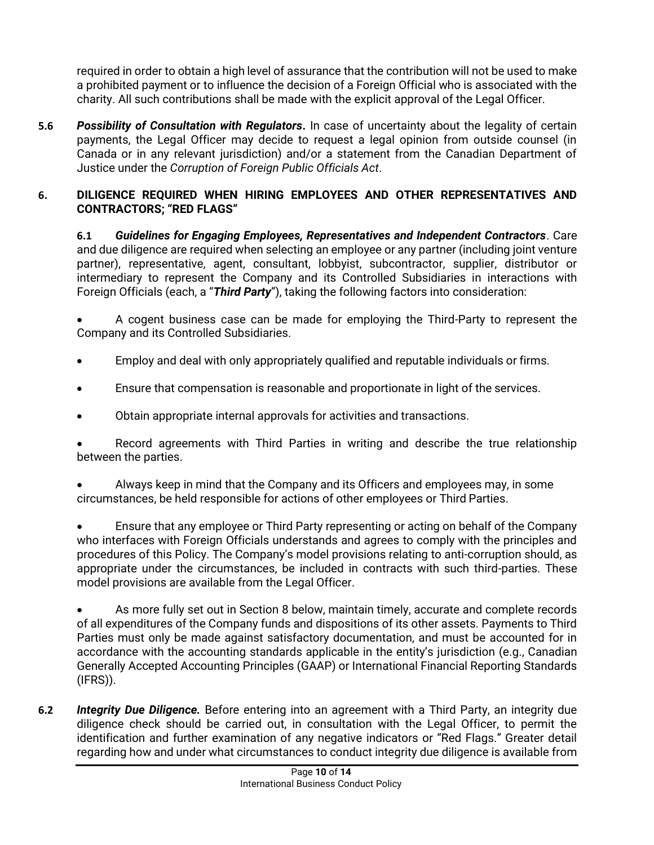required in order to obtain a high level of assurance that the contribution will not be used to make a prohibited payment or to influence the decision of a Foreign Official who is associated with the charity. All such contributions shall be made with the explicit approval of the Legal Officer.

**5.6** *Possibility of Consultation with Regulators***.** In case of uncertainty about the legality of certain payments, the Legal Officer may decide to request a legal opinion from outside counsel (in Canada or in any relevant jurisdiction) and/or a statement from the Canadian Department of Justice under the *Corruption of Foreign Public Officials Act*.

## <span id="page-11-0"></span>**6. DILIGENCE REQUIRED WHEN HIRING EMPLOYEES AND OTHER REPRESENTATIVES AND CONTRACTORS; "RED FLAGS"**

**6.1** *Guidelines for Engaging Employees, Representatives and Independent Contractors*. Care and due diligence are required when selecting an employee or any partner (including joint venture partner), representative, agent, consultant, lobbyist, subcontractor, supplier, distributor or intermediary to represent the Company and its Controlled Subsidiaries in interactions with Foreign Officials (each, a "*Third Party*"), taking the following factors into consideration:

• A cogent business case can be made for employing the Third-Party to represent the Company and its Controlled Subsidiaries.

- Employ and deal with only appropriately qualified and reputable individuals or firms.
- Ensure that compensation is reasonable and proportionate in light of the services.
- Obtain appropriate internal approvals for activities and transactions.

Record agreements with Third Parties in writing and describe the true relationship between the parties.

• Always keep in mind that the Company and its Officers and employees may, in some circumstances, be held responsible for actions of other employees or Third Parties.

• Ensure that any employee or Third Party representing or acting on behalf of the Company who interfaces with Foreign Officials understands and agrees to comply with the principles and procedures of this Policy. The Company's model provisions relating to anti-corruption should, as appropriate under the circumstances, be included in contracts with such third-parties. These model provisions are available from the Legal Officer.

• As more fully set out in Section 8 below, maintain timely, accurate and complete records of all expenditures of the Company funds and dispositions of its other assets. Payments to Third Parties must only be made against satisfactory documentation, and must be accounted for in accordance with the accounting standards applicable in the entity's jurisdiction (e.g., Canadian Generally Accepted Accounting Principles (GAAP) or International Financial Reporting Standards (IFRS)).

**6.2** *Integrity Due Diligence.* Before entering into an agreement with a Third Party, an integrity due diligence check should be carried out, in consultation with the Legal Officer, to permit the identification and further examination of any negative indicators or "Red Flags." Greater detail regarding how and under what circumstances to conduct integrity due diligence is available from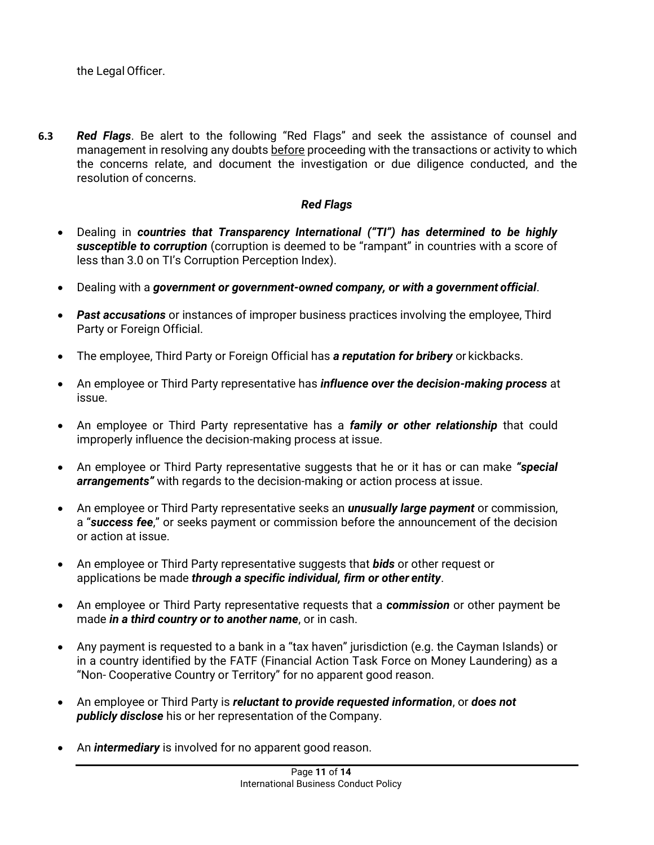<span id="page-12-0"></span>**6.3** *Red Flags*. Be alert to the following "Red Flags" and seek the assistance of counsel and management in resolving any doubts before proceeding with the transactions or activity to which the concerns relate, and document the investigation or due diligence conducted, and the resolution of concerns.

### *Red Flags*

- Dealing in *countries that Transparency International ("TI") has determined to be highly susceptible to corruption* (corruption is deemed to be "rampant" in countries with a score of less than 3.0 on TI's Corruption Perception Index).
- Dealing with a *government or government-owned company, or with a government official*.
- *Past accusations* or instances of improper business practices involving the employee, Third Party or Foreign Official.
- The employee, Third Party or Foreign Official has *a reputation for bribery* or kickbacks.
- An employee or Third Party representative has *influence over the decision-making process* at issue.
- An employee or Third Party representative has a *family or other relationship* that could improperly influence the decision-making process at issue.
- An employee or Third Party representative suggests that he or it has or can make *"special arrangements"* with regards to the decision-making or action process at issue.
- An employee or Third Party representative seeks an *unusually large payment* or commission, a "*success fee*," or seeks payment or commission before the announcement of the decision or action at issue.
- An employee or Third Party representative suggests that *bids* or other request or applications be made *through a specific individual, firm or other entity*.
- An employee or Third Party representative requests that a *commission* or other payment be made *in a third country or to another name*, or in cash.
- Any payment is requested to a bank in a "tax haven" jurisdiction (e.g. the Cayman Islands) or in a country identified by the FATF (Financial Action Task Force on Money Laundering) as a "Non- Cooperative Country or Territory" for no apparent good reason.
- An employee or Third Party is *reluctant to provide requested information*, or *does not publicly disclose* his or her representation of the Company.
- An *intermediary* is involved for no apparent good reason.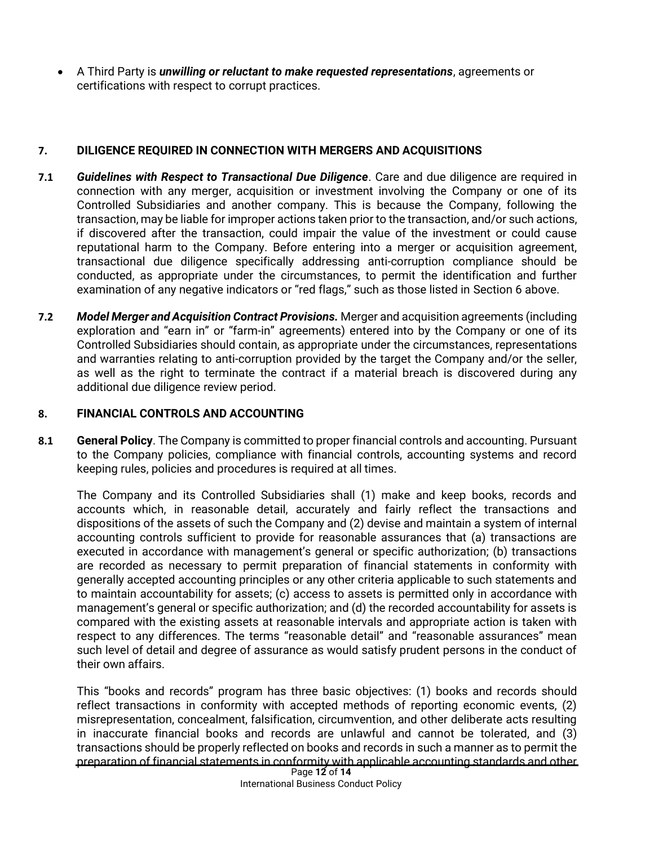• A Third Party is *unwilling or reluctant to make requested representations*, agreements or certifications with respect to corrupt practices.

### <span id="page-13-0"></span>**7. DILIGENCE REQUIRED IN CONNECTION WITH MERGERS AND ACQUISITIONS**

- **7.1** *Guidelines with Respect to Transactional Due Diligence*. Care and due diligence are required in connection with any merger, acquisition or investment involving the Company or one of its Controlled Subsidiaries and another company. This is because the Company, following the transaction, may be liable for improper actions taken prior to the transaction, and/or such actions, if discovered after the transaction, could impair the value of the investment or could cause reputational harm to the Company. Before entering into a merger or acquisition agreement, transactional due diligence specifically addressing anti-corruption compliance should be conducted, as appropriate under the circumstances, to permit the identification and further examination of any negative indicators or "red flags," such as those listed in Section 6 above.
- **7.2** *Model Merger and Acquisition Contract Provisions.* Merger and acquisition agreements (including exploration and "earn in" or "farm-in" agreements) entered into by the Company or one of its Controlled Subsidiaries should contain, as appropriate under the circumstances, representations and warranties relating to anti-corruption provided by the target the Company and/or the seller, as well as the right to terminate the contract if a material breach is discovered during any additional due diligence review period.

### <span id="page-13-1"></span>**8. FINANCIAL CONTROLS AND ACCOUNTING**

**8.1 General Policy**. The Company is committed to proper financial controls and accounting. Pursuant to the Company policies, compliance with financial controls, accounting systems and record keeping rules, policies and procedures is required at all times.

The Company and its Controlled Subsidiaries shall (1) make and keep books, records and accounts which, in reasonable detail, accurately and fairly reflect the transactions and dispositions of the assets of such the Company and (2) devise and maintain a system of internal accounting controls sufficient to provide for reasonable assurances that (a) transactions are executed in accordance with management's general or specific authorization; (b) transactions are recorded as necessary to permit preparation of financial statements in conformity with generally accepted accounting principles or any other criteria applicable to such statements and to maintain accountability for assets; (c) access to assets is permitted only in accordance with management's general or specific authorization; and (d) the recorded accountability for assets is compared with the existing assets at reasonable intervals and appropriate action is taken with respect to any differences. The terms "reasonable detail" and "reasonable assurances" mean such level of detail and degree of assurance as would satisfy prudent persons in the conduct of their own affairs.

Page **12** of **14** This "books and records" program has three basic objectives: (1) books and records should reflect transactions in conformity with accepted methods of reporting economic events, (2) misrepresentation, concealment, falsification, circumvention, and other deliberate acts resulting in inaccurate financial books and records are unlawful and cannot be tolerated, and (3) transactions should be properly reflected on books and records in such a manner as to permit the preparation of financial statements in conformity with applicable accounting standards and other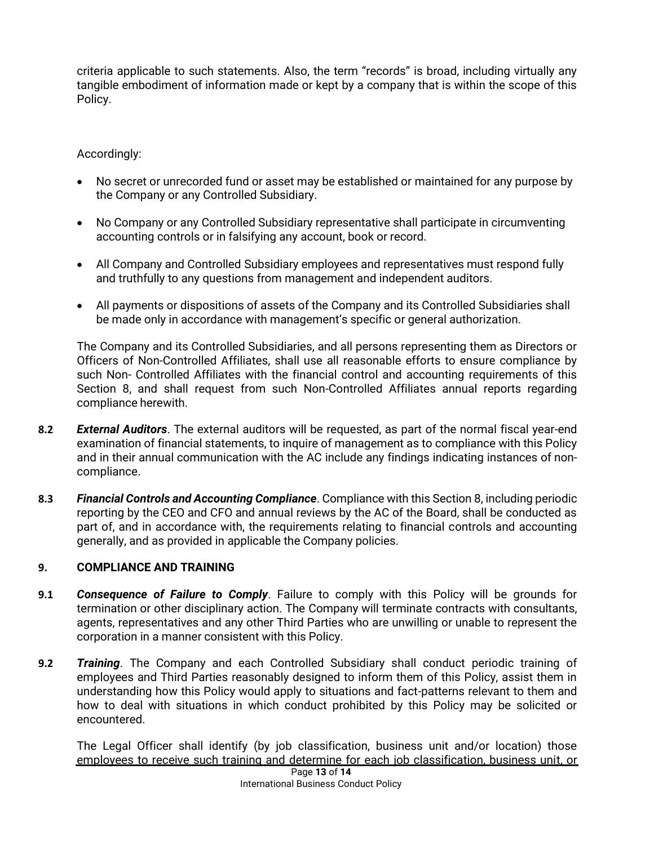criteria applicable to such statements. Also, the term "records" is broad, including virtually any tangible embodiment of information made or kept by a company that is within the scope of this Policy.

### Accordingly:

- No secret or unrecorded fund or asset may be established or maintained for any purpose by the Company or any Controlled Subsidiary.
- No Company or any Controlled Subsidiary representative shall participate in circumventing accounting controls or in falsifying any account, book or record.
- All Company and Controlled Subsidiary employees and representatives must respond fully and truthfully to any questions from management and independent auditors.
- All payments or dispositions of assets of the Company and its Controlled Subsidiaries shall be made only in accordance with management's specific or general authorization.

The Company and its Controlled Subsidiaries, and all persons representing them as Directors or Officers of Non-Controlled Affiliates, shall use all reasonable efforts to ensure compliance by such Non- Controlled Affiliates with the financial control and accounting requirements of this Section 8, and shall request from such Non-Controlled Affiliates annual reports regarding compliance herewith.

- **8.2** *External Auditors*. The external auditors will be requested, as part of the normal fiscal year-end examination of financial statements, to inquire of management as to compliance with this Policy and in their annual communication with the AC include any findings indicating instances of noncompliance.
- **8.3** *Financial Controls and Accounting Compliance*. Compliance with this Section 8, including periodic reporting by the CEO and CFO and annual reviews by the AC of the Board, shall be conducted as part of, and in accordance with, the requirements relating to financial controls and accounting generally, and as provided in applicable the Company policies.

#### <span id="page-14-0"></span>**9. COMPLIANCE AND TRAINING**

- **9.1** *Consequence of Failure to Comply*. Failure to comply with this Policy will be grounds for termination or other disciplinary action. The Company will terminate contracts with consultants, agents, representatives and any other Third Parties who are unwilling or unable to represent the corporation in a manner consistent with this Policy.
- <span id="page-14-1"></span>**9.2** *Training*. The Company and each Controlled Subsidiary shall conduct periodic training of employees and Third Parties reasonably designed to inform them of this Policy, assist them in understanding how this Policy would apply to situations and fact-patterns relevant to them and how to deal with situations in which conduct prohibited by this Policy may be solicited or encountered.

Page **13** of **14** The Legal Officer shall identify (by job classification, business unit and/or location) those employees to receive such training and determine for each job classification, business unit, or

International Business Conduct Policy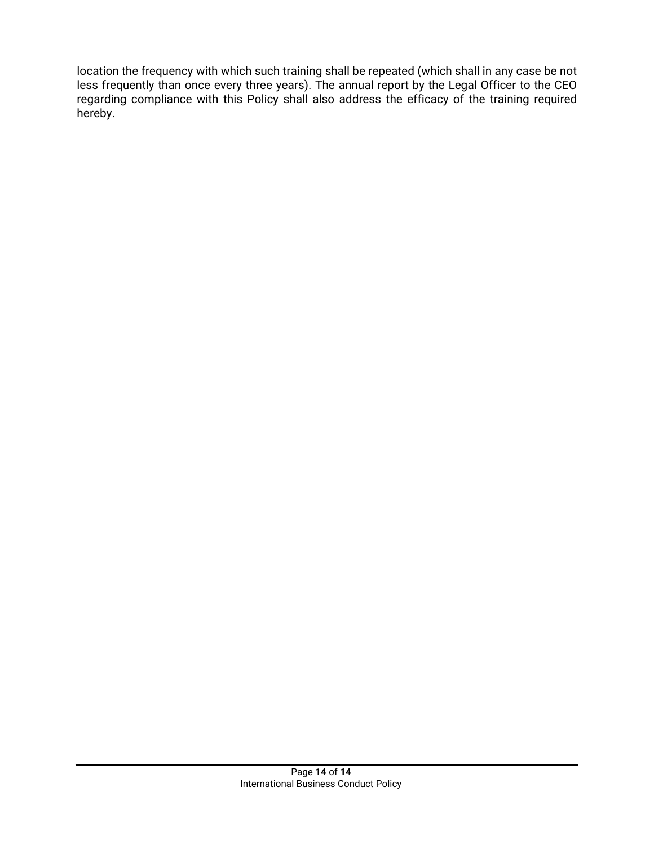location the frequency with which such training shall be repeated (which shall in any case be not less frequently than once every three years). The annual report by the Legal Officer to the CEO regarding compliance with this Policy shall also address the efficacy of the training required hereby.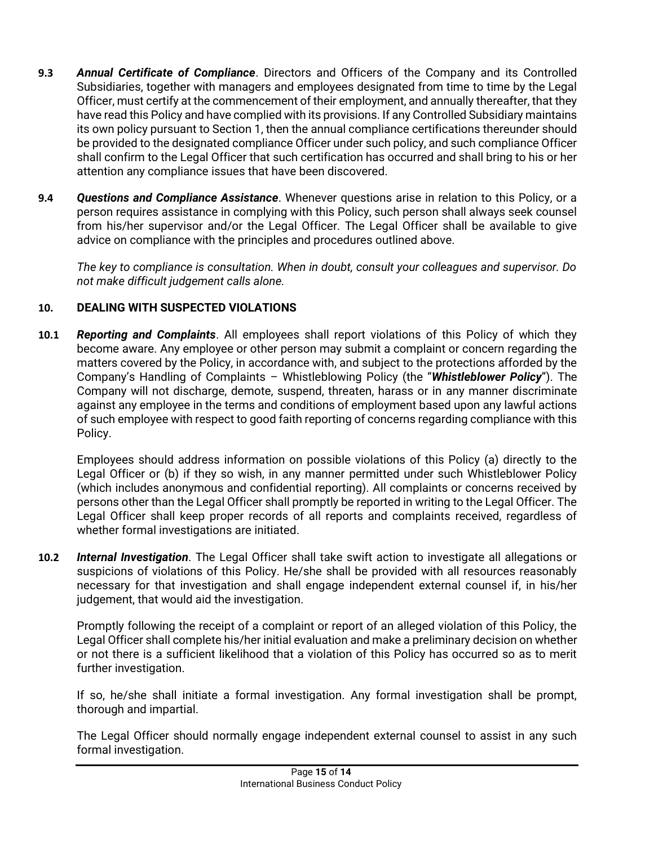- **9.3** *Annual Certificate of Compliance*. Directors and Officers of the Company and its Controlled Subsidiaries, together with managers and employees designated from time to time by the Legal Officer, must certify at the commencement of their employment, and annually thereafter, that they have read this Policy and have complied with its provisions. If any Controlled Subsidiary maintains its own policy pursuant to Section 1, then the annual compliance certifications thereunder should be provided to the designated compliance Officer under such policy, and such compliance Officer shall confirm to the Legal Officer that such certification has occurred and shall bring to his or her attention any compliance issues that have been discovered.
- **9.4** *Questions and Compliance Assistance*. Whenever questions arise in relation to this Policy, or a person requires assistance in complying with this Policy, such person shall always seek counsel from his/her supervisor and/or the Legal Officer. The Legal Officer shall be available to give advice on compliance with the principles and procedures outlined above.

*The key to compliance is consultation. When in doubt, consult your colleagues and supervisor. Do not make difficult judgement calls alone.*

# <span id="page-16-0"></span>**10. DEALING WITH SUSPECTED VIOLATIONS**

**10.1** *Reporting and Complaints*. All employees shall report violations of this Policy of which they become aware. Any employee or other person may submit a complaint or concern regarding the matters covered by the Policy, in accordance with, and subject to the protections afforded by the Company's Handling of Complaints – Whistleblowing Policy (the "*Whistleblower Policy*"). The Company will not discharge, demote, suspend, threaten, harass or in any manner discriminate against any employee in the terms and conditions of employment based upon any lawful actions of such employee with respect to good faith reporting of concerns regarding compliance with this Policy.

Employees should address information on possible violations of this Policy (a) directly to the Legal Officer or (b) if they so wish, in any manner permitted under such Whistleblower Policy (which includes anonymous and confidential reporting). All complaints or concerns received by persons other than the Legal Officer shall promptly be reported in writing to the Legal Officer. The Legal Officer shall keep proper records of all reports and complaints received, regardless of whether formal investigations are initiated.

**10.2** *Internal Investigation*. The Legal Officer shall take swift action to investigate all allegations or suspicions of violations of this Policy. He/she shall be provided with all resources reasonably necessary for that investigation and shall engage independent external counsel if, in his/her judgement, that would aid the investigation.

Promptly following the receipt of a complaint or report of an alleged violation of this Policy, the Legal Officer shall complete his/her initial evaluation and make a preliminary decision on whether or not there is a sufficient likelihood that a violation of this Policy has occurred so as to merit further investigation.

If so, he/she shall initiate a formal investigation. Any formal investigation shall be prompt, thorough and impartial.

The Legal Officer should normally engage independent external counsel to assist in any such formal investigation.